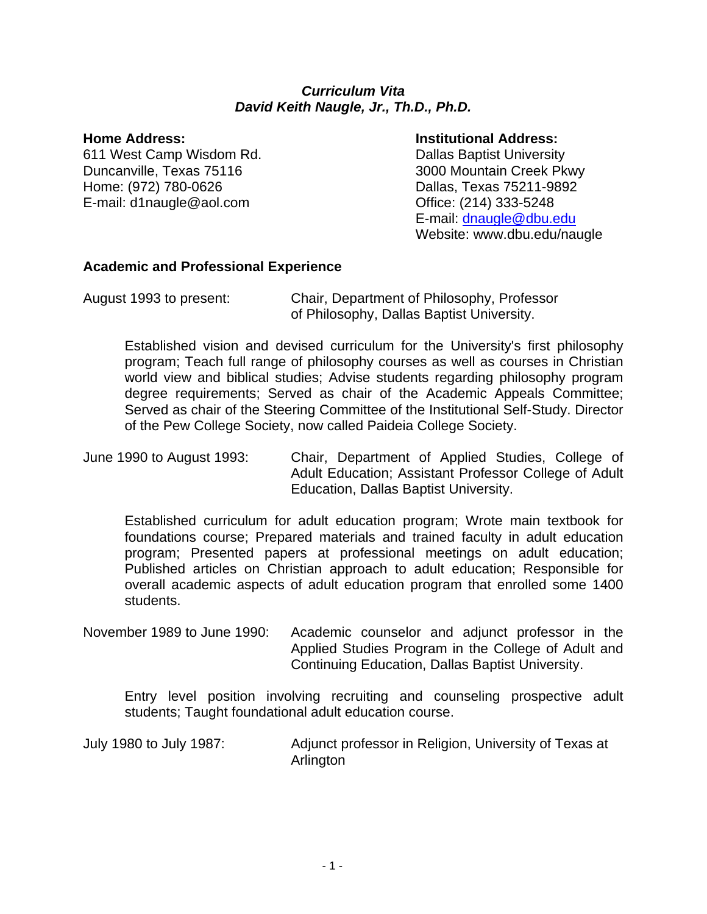#### *Curriculum Vita David Keith Naugle, Jr., Th.D., Ph.D.*

611 West Camp Wisdom Rd. Dallas Baptist University Duncanville, Texas 75116 3000 Mountain Creek Pkwy Home: (972) 780-0626 **Dallas, Texas 75211-9892** E-mail: d1naugle@aol.com Office: (214) 333-5248

#### **Home Address: Institutional Address:**

 E-mail: dnaugle@dbu.edu Website: www.dbu.edu/naugle

### **Academic and Professional Experience**

Established vision and devised curriculum for the University's first philosophy program; Teach full range of philosophy courses as well as courses in Christian world view and biblical studies; Advise students regarding philosophy program degree requirements; Served as chair of the Academic Appeals Committee; Served as chair of the Steering Committee of the Institutional Self-Study. Director of the Pew College Society, now called Paideia College Society.

June 1990 to August 1993: Chair, Department of Applied Studies, College of Adult Education; Assistant Professor College of Adult Education, Dallas Baptist University.

Established curriculum for adult education program; Wrote main textbook for foundations course; Prepared materials and trained faculty in adult education program; Presented papers at professional meetings on adult education; Published articles on Christian approach to adult education; Responsible for overall academic aspects of adult education program that enrolled some 1400 students.

November 1989 to June 1990: Academic counselor and adjunct professor in the Applied Studies Program in the College of Adult and Continuing Education, Dallas Baptist University.

Entry level position involving recruiting and counseling prospective adult students; Taught foundational adult education course.

July 1980 to July 1987: Adjunct professor in Religion, University of Texas at Arlington

August 1993 to present: Chair, Department of Philosophy, Professor of Philosophy, Dallas Baptist University.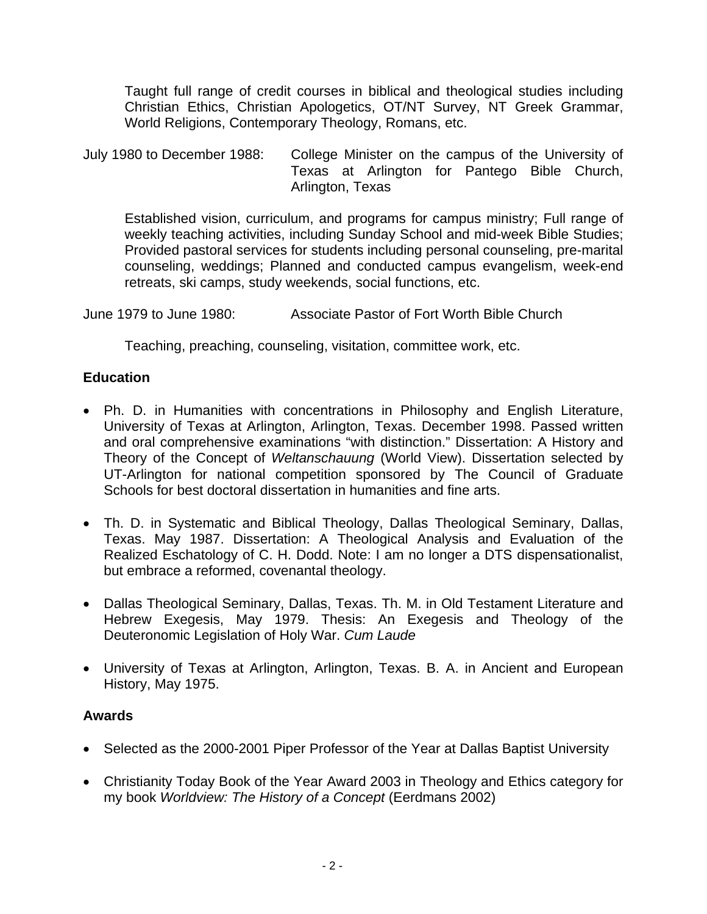Taught full range of credit courses in biblical and theological studies including Christian Ethics, Christian Apologetics, OT/NT Survey, NT Greek Grammar, World Religions, Contemporary Theology, Romans, etc.

July 1980 to December 1988: College Minister on the campus of the University of Texas at Arlington for Pantego Bible Church, Arlington, Texas

Established vision, curriculum, and programs for campus ministry; Full range of weekly teaching activities, including Sunday School and mid-week Bible Studies; Provided pastoral services for students including personal counseling, pre-marital counseling, weddings; Planned and conducted campus evangelism, week-end retreats, ski camps, study weekends, social functions, etc.

June 1979 to June 1980: Associate Pastor of Fort Worth Bible Church

Teaching, preaching, counseling, visitation, committee work, etc.

# **Education**

- Ph. D. in Humanities with concentrations in Philosophy and English Literature, University of Texas at Arlington, Arlington, Texas. December 1998. Passed written and oral comprehensive examinations "with distinction." Dissertation: A History and Theory of the Concept of *Weltanschauung* (World View). Dissertation selected by UT-Arlington for national competition sponsored by The Council of Graduate Schools for best doctoral dissertation in humanities and fine arts.
- Th. D. in Systematic and Biblical Theology, Dallas Theological Seminary, Dallas, Texas. May 1987. Dissertation: A Theological Analysis and Evaluation of the Realized Eschatology of C. H. Dodd. Note: I am no longer a DTS dispensationalist, but embrace a reformed, covenantal theology.
- Dallas Theological Seminary, Dallas, Texas. Th. M. in Old Testament Literature and Hebrew Exegesis, May 1979. Thesis: An Exegesis and Theology of the Deuteronomic Legislation of Holy War. *Cum Laude*
- University of Texas at Arlington, Arlington, Texas. B. A. in Ancient and European History, May 1975.

# **Awards**

- Selected as the 2000-2001 Piper Professor of the Year at Dallas Baptist University
- Christianity Today Book of the Year Award 2003 in Theology and Ethics category for my book *Worldview: The History of a Concept* (Eerdmans 2002)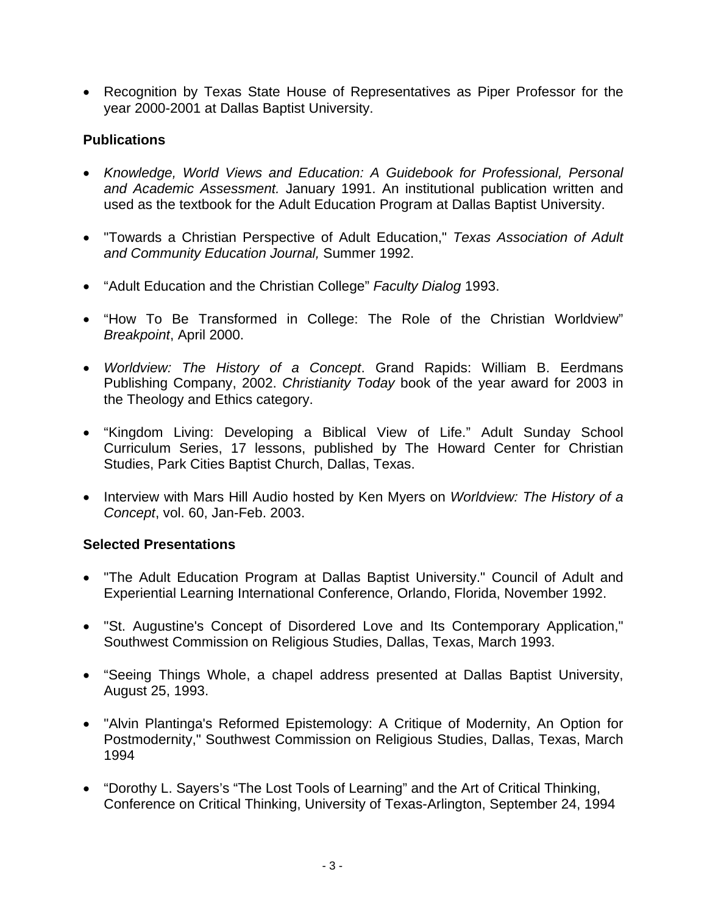• Recognition by Texas State House of Representatives as Piper Professor for the year 2000-2001 at Dallas Baptist University.

# **Publications**

- *Knowledge, World Views and Education: A Guidebook for Professional, Personal and Academic Assessment.* January 1991. An institutional publication written and used as the textbook for the Adult Education Program at Dallas Baptist University.
- "Towards a Christian Perspective of Adult Education," *Texas Association of Adult and Community Education Journal,* Summer 1992.
- "Adult Education and the Christian College" *Faculty Dialog* 1993.
- "How To Be Transformed in College: The Role of the Christian Worldview" *Breakpoint*, April 2000.
- *Worldview: The History of a Concept*. Grand Rapids: William B. Eerdmans Publishing Company, 2002. *Christianity Today* book of the year award for 2003 in the Theology and Ethics category.
- "Kingdom Living: Developing a Biblical View of Life." Adult Sunday School Curriculum Series, 17 lessons, published by The Howard Center for Christian Studies, Park Cities Baptist Church, Dallas, Texas.
- Interview with Mars Hill Audio hosted by Ken Myers on *Worldview: The History of a Concept*, vol. 60, Jan-Feb. 2003.

# **Selected Presentations**

- "The Adult Education Program at Dallas Baptist University." Council of Adult and Experiential Learning International Conference, Orlando, Florida, November 1992.
- "St. Augustine's Concept of Disordered Love and Its Contemporary Application," Southwest Commission on Religious Studies, Dallas, Texas, March 1993.
- "Seeing Things Whole, a chapel address presented at Dallas Baptist University, August 25, 1993.
- "Alvin Plantinga's Reformed Epistemology: A Critique of Modernity, An Option for Postmodernity," Southwest Commission on Religious Studies, Dallas, Texas, March 1994
- "Dorothy L. Sayers's "The Lost Tools of Learning" and the Art of Critical Thinking, Conference on Critical Thinking, University of Texas-Arlington, September 24, 1994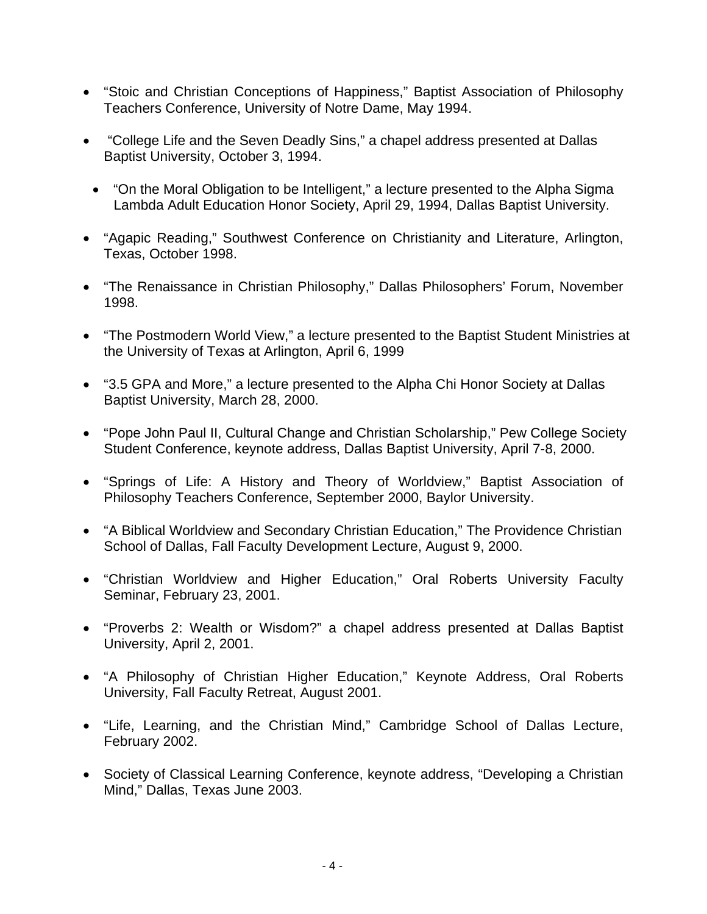- "Stoic and Christian Conceptions of Happiness," Baptist Association of Philosophy Teachers Conference, University of Notre Dame, May 1994.
- "College Life and the Seven Deadly Sins," a chapel address presented at Dallas Baptist University, October 3, 1994.
	- "On the Moral Obligation to be Intelligent," a lecture presented to the Alpha Sigma Lambda Adult Education Honor Society, April 29, 1994, Dallas Baptist University.
- "Agapic Reading," Southwest Conference on Christianity and Literature, Arlington, Texas, October 1998.
- "The Renaissance in Christian Philosophy," Dallas Philosophers' Forum, November 1998.
- "The Postmodern World View," a lecture presented to the Baptist Student Ministries at the University of Texas at Arlington, April 6, 1999
- "3.5 GPA and More," a lecture presented to the Alpha Chi Honor Society at Dallas Baptist University, March 28, 2000.
- "Pope John Paul II, Cultural Change and Christian Scholarship," Pew College Society Student Conference, keynote address, Dallas Baptist University, April 7-8, 2000.
- "Springs of Life: A History and Theory of Worldview," Baptist Association of Philosophy Teachers Conference, September 2000, Baylor University.
- "A Biblical Worldview and Secondary Christian Education," The Providence Christian School of Dallas, Fall Faculty Development Lecture, August 9, 2000.
- "Christian Worldview and Higher Education," Oral Roberts University Faculty Seminar, February 23, 2001.
- "Proverbs 2: Wealth or Wisdom?" a chapel address presented at Dallas Baptist University, April 2, 2001.
- "A Philosophy of Christian Higher Education," Keynote Address, Oral Roberts University, Fall Faculty Retreat, August 2001.
- "Life, Learning, and the Christian Mind," Cambridge School of Dallas Lecture, February 2002.
- Society of Classical Learning Conference, keynote address, "Developing a Christian Mind," Dallas, Texas June 2003.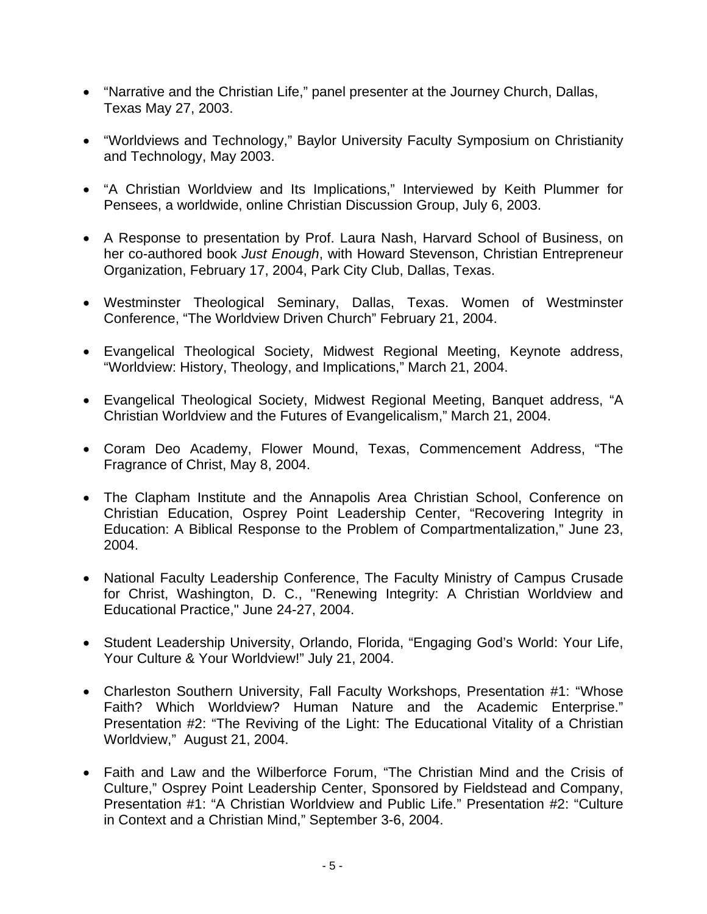- "Narrative and the Christian Life," panel presenter at the Journey Church, Dallas, Texas May 27, 2003.
- "Worldviews and Technology," Baylor University Faculty Symposium on Christianity and Technology, May 2003.
- "A Christian Worldview and Its Implications," Interviewed by Keith Plummer for Pensees, a worldwide, online Christian Discussion Group, July 6, 2003.
- A Response to presentation by Prof. Laura Nash, Harvard School of Business, on her co-authored book *Just Enough*, with Howard Stevenson, Christian Entrepreneur Organization, February 17, 2004, Park City Club, Dallas, Texas.
- Westminster Theological Seminary, Dallas, Texas. Women of Westminster Conference, "The Worldview Driven Church" February 21, 2004.
- Evangelical Theological Society, Midwest Regional Meeting, Keynote address, "Worldview: History, Theology, and Implications," March 21, 2004.
- Evangelical Theological Society, Midwest Regional Meeting, Banquet address, "A Christian Worldview and the Futures of Evangelicalism," March 21, 2004.
- Coram Deo Academy, Flower Mound, Texas, Commencement Address, "The Fragrance of Christ, May 8, 2004.
- The Clapham Institute and the Annapolis Area Christian School, Conference on Christian Education, Osprey Point Leadership Center, "Recovering Integrity in Education: A Biblical Response to the Problem of Compartmentalization," June 23, 2004.
- National Faculty Leadership Conference, The Faculty Ministry of Campus Crusade for Christ, Washington, D. C., "Renewing Integrity: A Christian Worldview and Educational Practice," June 24-27, 2004.
- Student Leadership University, Orlando, Florida, "Engaging God's World: Your Life, Your Culture & Your Worldview!" July 21, 2004.
- Charleston Southern University, Fall Faculty Workshops, Presentation #1: "Whose Faith? Which Worldview? Human Nature and the Academic Enterprise." Presentation #2: "The Reviving of the Light: The Educational Vitality of a Christian Worldview," August 21, 2004.
- Faith and Law and the Wilberforce Forum, "The Christian Mind and the Crisis of Culture," Osprey Point Leadership Center, Sponsored by Fieldstead and Company, Presentation #1: "A Christian Worldview and Public Life." Presentation #2: "Culture in Context and a Christian Mind," September 3-6, 2004.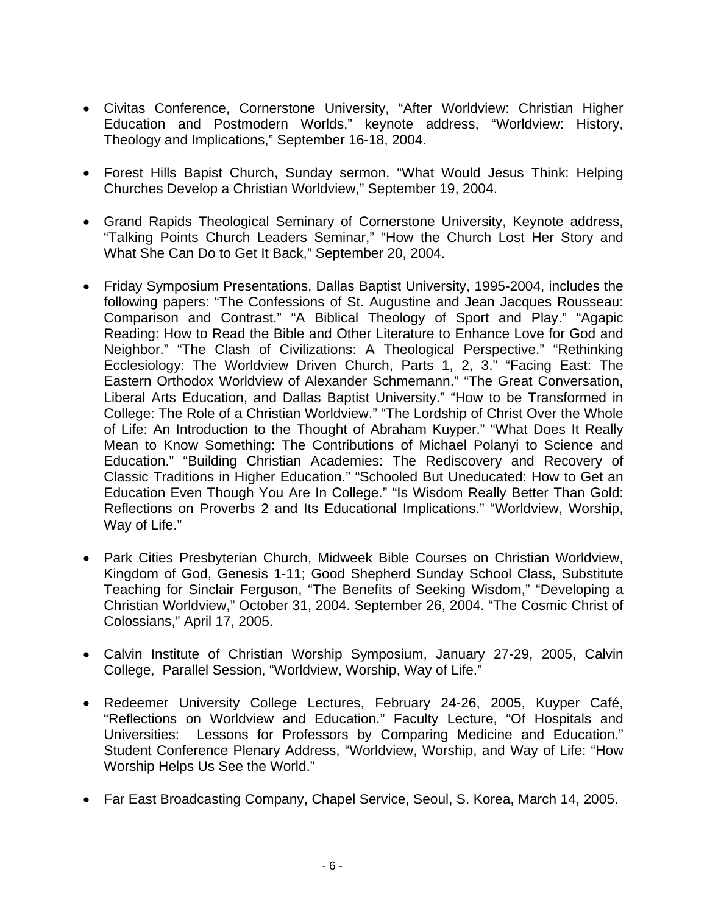- Civitas Conference, Cornerstone University, "After Worldview: Christian Higher Education and Postmodern Worlds," keynote address, "Worldview: History, Theology and Implications," September 16-18, 2004.
- Forest Hills Bapist Church, Sunday sermon, "What Would Jesus Think: Helping Churches Develop a Christian Worldview," September 19, 2004.
- Grand Rapids Theological Seminary of Cornerstone University, Keynote address, "Talking Points Church Leaders Seminar," "How the Church Lost Her Story and What She Can Do to Get It Back," September 20, 2004.
- Friday Symposium Presentations, Dallas Baptist University, 1995-2004, includes the following papers: "The Confessions of St. Augustine and Jean Jacques Rousseau: Comparison and Contrast." "A Biblical Theology of Sport and Play." "Agapic Reading: How to Read the Bible and Other Literature to Enhance Love for God and Neighbor." "The Clash of Civilizations: A Theological Perspective." "Rethinking Ecclesiology: The Worldview Driven Church, Parts 1, 2, 3." "Facing East: The Eastern Orthodox Worldview of Alexander Schmemann." "The Great Conversation, Liberal Arts Education, and Dallas Baptist University." "How to be Transformed in College: The Role of a Christian Worldview." "The Lordship of Christ Over the Whole of Life: An Introduction to the Thought of Abraham Kuyper." "What Does It Really Mean to Know Something: The Contributions of Michael Polanyi to Science and Education." "Building Christian Academies: The Rediscovery and Recovery of Classic Traditions in Higher Education." "Schooled But Uneducated: How to Get an Education Even Though You Are In College." "Is Wisdom Really Better Than Gold: Reflections on Proverbs 2 and Its Educational Implications." "Worldview, Worship, Way of Life."
- Park Cities Presbyterian Church, Midweek Bible Courses on Christian Worldview, Kingdom of God, Genesis 1-11; Good Shepherd Sunday School Class, Substitute Teaching for Sinclair Ferguson, "The Benefits of Seeking Wisdom," "Developing a Christian Worldview," October 31, 2004. September 26, 2004. "The Cosmic Christ of Colossians," April 17, 2005.
- Calvin Institute of Christian Worship Symposium, January 27-29, 2005, Calvin College, Parallel Session, "Worldview, Worship, Way of Life."
- Redeemer University College Lectures, February 24-26, 2005, Kuyper Café, "Reflections on Worldview and Education." Faculty Lecture, "Of Hospitals and Universities: Lessons for Professors by Comparing Medicine and Education." Student Conference Plenary Address, "Worldview, Worship, and Way of Life: "How Worship Helps Us See the World."
- Far East Broadcasting Company, Chapel Service, Seoul, S. Korea, March 14, 2005.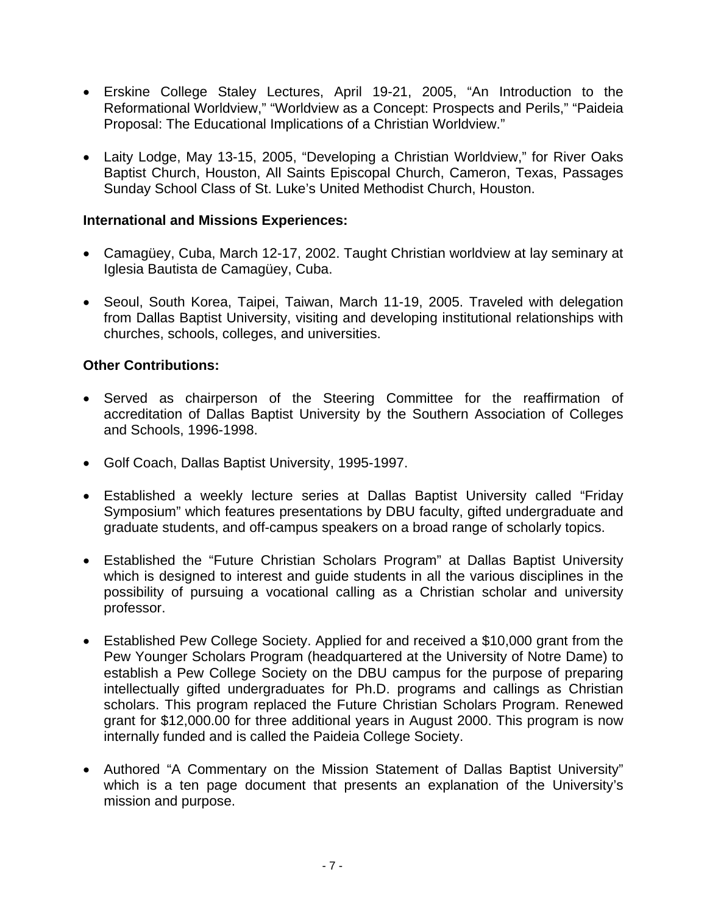- Erskine College Staley Lectures, April 19-21, 2005, "An Introduction to the Reformational Worldview," "Worldview as a Concept: Prospects and Perils," "Paideia Proposal: The Educational Implications of a Christian Worldview."
- Laity Lodge, May 13-15, 2005, "Developing a Christian Worldview," for River Oaks Baptist Church, Houston, All Saints Episcopal Church, Cameron, Texas, Passages Sunday School Class of St. Luke's United Methodist Church, Houston.

#### **International and Missions Experiences:**

- Camagüey, Cuba, March 12-17, 2002. Taught Christian worldview at lay seminary at Iglesia Bautista de Camagüey, Cuba.
- Seoul, South Korea, Taipei, Taiwan, March 11-19, 2005. Traveled with delegation from Dallas Baptist University, visiting and developing institutional relationships with churches, schools, colleges, and universities.

### **Other Contributions:**

- Served as chairperson of the Steering Committee for the reaffirmation of accreditation of Dallas Baptist University by the Southern Association of Colleges and Schools, 1996-1998.
- Golf Coach, Dallas Baptist University, 1995-1997.
- Established a weekly lecture series at Dallas Baptist University called "Friday Symposium" which features presentations by DBU faculty, gifted undergraduate and graduate students, and off-campus speakers on a broad range of scholarly topics.
- Established the "Future Christian Scholars Program" at Dallas Baptist University which is designed to interest and guide students in all the various disciplines in the possibility of pursuing a vocational calling as a Christian scholar and university professor.
- Established Pew College Society. Applied for and received a \$10,000 grant from the Pew Younger Scholars Program (headquartered at the University of Notre Dame) to establish a Pew College Society on the DBU campus for the purpose of preparing intellectually gifted undergraduates for Ph.D. programs and callings as Christian scholars. This program replaced the Future Christian Scholars Program. Renewed grant for \$12,000.00 for three additional years in August 2000. This program is now internally funded and is called the Paideia College Society.
- Authored "A Commentary on the Mission Statement of Dallas Baptist University" which is a ten page document that presents an explanation of the University's mission and purpose.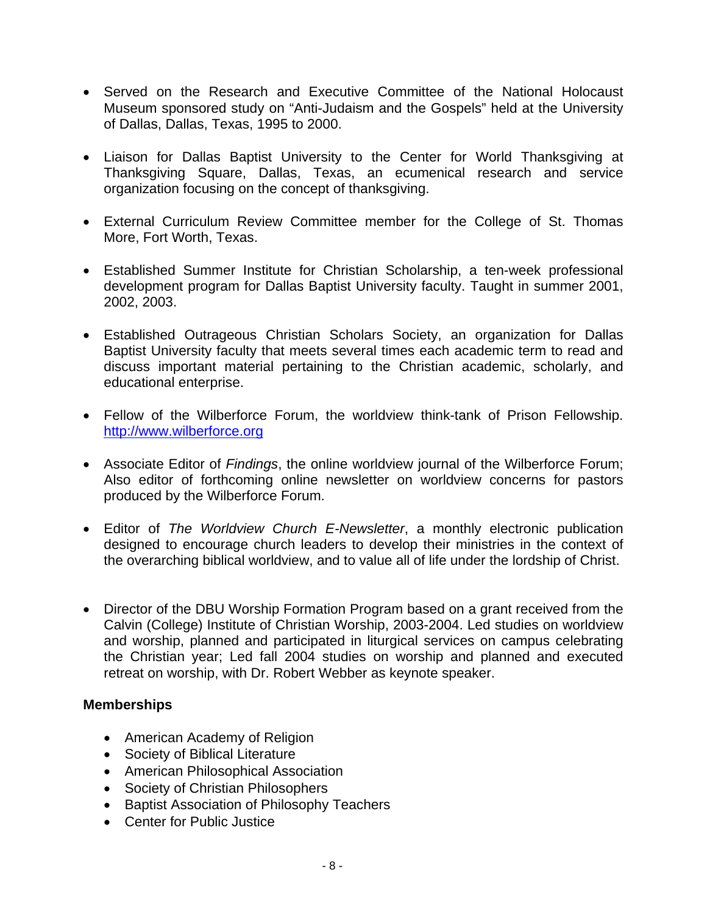- Served on the Research and Executive Committee of the National Holocaust Museum sponsored study on "Anti-Judaism and the Gospels" held at the University of Dallas, Dallas, Texas, 1995 to 2000.
- Liaison for Dallas Baptist University to the Center for World Thanksgiving at Thanksgiving Square, Dallas, Texas, an ecumenical research and service organization focusing on the concept of thanksgiving.
- External Curriculum Review Committee member for the College of St. Thomas More, Fort Worth, Texas.
- Established Summer Institute for Christian Scholarship, a ten-week professional development program for Dallas Baptist University faculty. Taught in summer 2001, 2002, 2003.
- Established Outrageous Christian Scholars Society, an organization for Dallas Baptist University faculty that meets several times each academic term to read and discuss important material pertaining to the Christian academic, scholarly, and educational enterprise.
- Fellow of the Wilberforce Forum, the worldview think-tank of Prison Fellowship. http://www.wilberforce.org
- Associate Editor of *Findings*, the online worldview journal of the Wilberforce Forum; Also editor of forthcoming online newsletter on worldview concerns for pastors produced by the Wilberforce Forum.
- Editor of *The Worldview Church E-Newsletter*, a monthly electronic publication designed to encourage church leaders to develop their ministries in the context of the overarching biblical worldview, and to value all of life under the lordship of Christ.
- Director of the DBU Worship Formation Program based on a grant received from the Calvin (College) Institute of Christian Worship, 2003-2004. Led studies on worldview and worship, planned and participated in liturgical services on campus celebrating the Christian year; Led fall 2004 studies on worship and planned and executed retreat on worship, with Dr. Robert Webber as keynote speaker.

#### **Memberships**

- American Academy of Religion
- Society of Biblical Literature
- American Philosophical Association
- Society of Christian Philosophers
- Baptist Association of Philosophy Teachers
- Center for Public Justice